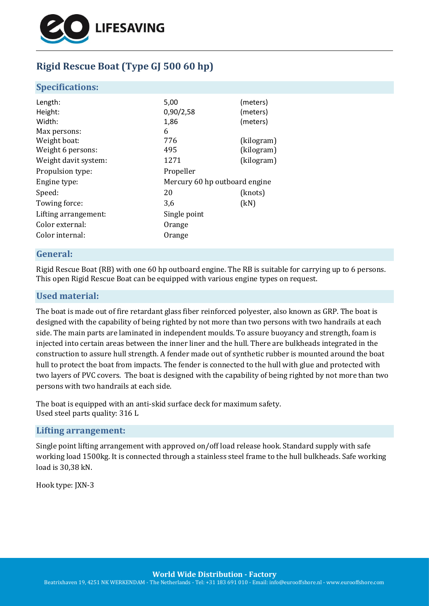

# **Rigid Rescue Boat (Type GJ 500 60 hp)**

### **Specifications:**

| Length:              | 5,00                          | (meters)   |
|----------------------|-------------------------------|------------|
| Height:              | 0,90/2,58                     | (meters)   |
| Width:               | 1,86                          | (meters)   |
| Max persons:         | 6                             |            |
| Weight boat:         | 776                           | (kilogram) |
| Weight 6 persons:    | 495                           | (kilogram) |
| Weight davit system: | 1271                          | (kilogram) |
| Propulsion type:     | Propeller                     |            |
| Engine type:         | Mercury 60 hp outboard engine |            |
| Speed:               | 20                            | (knots)    |
| Towing force:        | 3,6                           | (kN)       |
| Lifting arrangement: | Single point                  |            |
| Color external:      | Orange                        |            |
| Color internal:      | Orange                        |            |
|                      |                               |            |

### **General:**

Rigid Rescue Boat (RB) with one 60 hp outboard engine. The RB is suitable for carrying up to 6 persons. This open Rigid Rescue Boat can be equipped with various engine types on request.

# **Used material:**

The boat is made out of fire retardant glass fiber reinforced polyester, also known as GRP. The boat is designed with the capability of being righted by not more than two persons with two handrails at each side. The main parts are laminated in independent moulds. To assure buoyancy and strength, foam is injected into certain areas between the inner liner and the hull. There are bulkheads integrated in the construction to assure hull strength. A fender made out of synthetic rubber is mounted around the boat hull to protect the boat from impacts. The fender is connected to the hull with glue and protected with two layers of PVC covers. The boat is designed with the capability of being righted by not more than two persons with two handrails at each side.

The boat is equipped with an anti-skid surface deck for maximum safety. Used steel parts quality: 316 L

#### **Lifting arrangement:**

Single point lifting arrangement with approved on/off load release hook. Standard supply with safe working load 1500kg. It is connected through a stainless steel frame to the hull bulkheads. Safe working load is 30,38 kN.

Hook type: JXN-3

**World Wide Distribution - Factory**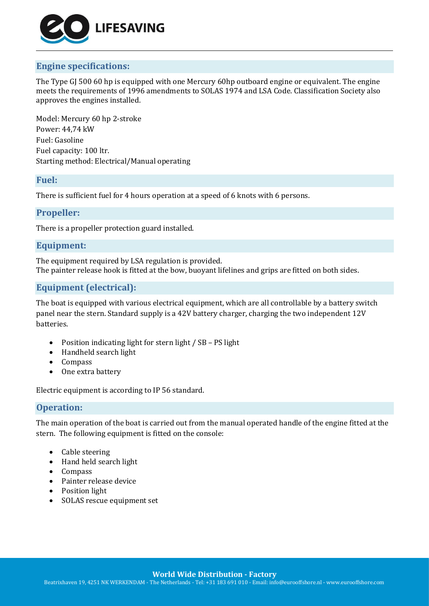

# **Engine specifications:**

The Type GJ 500 60 hp is equipped with one Mercury 60hp outboard engine or equivalent. The engine meets the requirements of 1996 amendments to SOLAS 1974 and LSA Code. Classification Society also approves the engines installed.

Model: Mercury 60 hp 2-stroke Power: 44,74 kW Fuel: Gasoline Fuel capacity: 100 ltr. Starting method: Electrical/Manual operating

#### **Fuel:**

There is sufficient fuel for 4 hours operation at a speed of 6 knots with 6 persons.

### **Propeller:**

There is a propeller protection guard installed.

# **Equipment:**

The equipment required by LSA regulation is provided. The painter release hook is fitted at the bow, buoyant lifelines and grips are fitted on both sides.

## **Equipment (electrical):**

The boat is equipped with various electrical equipment, which are all controllable by a battery switch panel near the stern. Standard supply is a 42V battery charger, charging the two independent 12V batteries.

- Position indicating light for stern light / SB PS light
- Handheld search light
- Compass
- One extra battery

Electric equipment is according to IP 56 standard.

## **Operation:**

The main operation of the boat is carried out from the manual operated handle of the engine fitted at the stern. The following equipment is fitted on the console:

- Cable steering
- Hand held search light
- Compass
- Painter release device
- Position light
- SOLAS rescue equipment set

**World Wide Distribution - Factory**